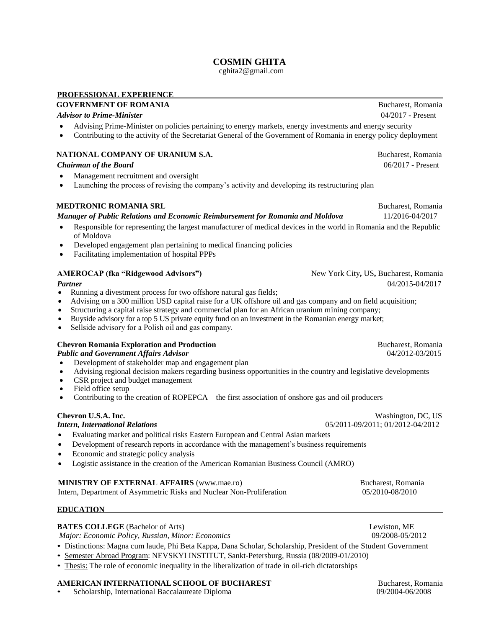# **COSMIN GHITA**

cghita2@gmail.com

### **PROFESSIONAL EXPERIENCE**

## **GOVERNMENT OF ROMANIA Bucharest, Romania Bucharest, Romania**

### *Advisor to Prime-Minister* 04/2017 - Present

- Advising Prime-Minister on policies pertaining to energy markets, energy investments and energy security
- Contributing to the activity of the Secretariat General of the Government of Romania in energy policy deployment

### **NATIONAL COMPANY OF URANIUM S.A. Bucharest, Romania**

### *Chairman of the Board* 06/2017 - Present

- Management recruitment and oversight
- Launching the process of revising the company's activity and developing its restructuring plan

### **MEDTRONIC ROMANIA SRL Bucharest, Romania Bucharest, Romania**

*Manager of Public Relations and Economic Reimbursement for Romania and Moldova* 11/2016-04/2017

- Responsible for representing the largest manufacturer of medical devices in the world in Romania and the Republic of Moldova
- Developed engagement plan pertaining to medical financing policies
- Facilitating implementation of hospital PPPs

### **AMEROCAP (fka "Ridgewood Advisors")** New York City**,** US**,** Bucharest, Romania

- Running a divestment process for two offshore natural gas fields;
- Advising on a 300 million USD capital raise for a UK offshore oil and gas company and on field acquisition;
- Structuring a capital raise strategy and commercial plan for an African uranium mining company;
- Buyside advisory for a top 5 US private equity fund on an investment in the Romanian energy market;
- Sellside advisory for a Polish oil and gas company.

### **Chevron Romania Exploration and Production <b>Access 2006 Bucharest**, Romania

*Public and Government Affairs Advisor* 04/2012-03/2015

- Development of stakeholder map and engagement plan
- Advising regional decision makers regarding business opportunities in the country and legislative developments
- CSR project and budget management
- Field office setup
- Contributing to the creation of ROPEPCA the first association of onshore gas and oil producers

- Evaluating market and political risks Eastern European and Central Asian markets
- Development of research reports in accordance with the management's business requirements
- Economic and strategic policy analysis
- Logistic assistance in the creation of the American Romanian Business Council (AMRO)

### **MINISTRY OF EXTERNAL AFFAIRS** (www.mae.ro) Bucharest, Romania

Intern, Department of Asymmetric Risks and Nuclear Non-Proliferation 05/2010-08/2010

### **EDUCATION**

### **BATES COLLEGE** (Bachelor of Arts) Lewiston, ME

*Major: Economic Policy, Russian, Minor: Economics* 09/2008-05/2012

- Distinctions: Magna cum laude, Phi Beta Kappa, Dana Scholar, Scholarship, President of the Student Government
- Semester Abroad Program: NEVSKYI INSTITUT, Sankt-Petersburg, Russia (08/2009-01/2010)
- Thesis: The role of economic inequality in the liberalization of trade in oil-rich dictatorships

## **AMERICAN INTERNATIONAL SCHOOL OF BUCHAREST Bucharest, Romania**

• Scholarship, International Baccalaureate Diploma 09/2004-06/2008

*Partner* 04/2015-04/2017

**Chevron U.S.A. Inc.** Washington, DC, US

*Intern, International Relations* 05/2011-09/2011; 01/2012-04/2012